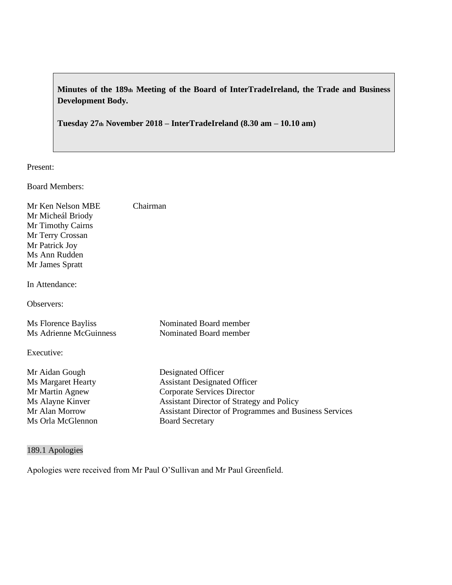**Minutes of the 189th Meeting of the Board of InterTradeIreland, the Trade and Business Development Body.**

**Tuesday 27th November 2018 – InterTradeIreland (8.30 am – 10.10 am)**

Present:

Board Members:

| Mr Ken Nelson MBE<br>Mr Micheál Briody<br>Mr Timothy Cairns<br>Mr Terry Crossan<br>Mr Patrick Joy<br>Ms Ann Rudden<br>Mr James Spratt<br>In Attendance: | Chairman                                                                                                                                                                                                                                |
|---------------------------------------------------------------------------------------------------------------------------------------------------------|-----------------------------------------------------------------------------------------------------------------------------------------------------------------------------------------------------------------------------------------|
| Observers:                                                                                                                                              |                                                                                                                                                                                                                                         |
| Ms Florence Bayliss<br>Ms Adrienne McGuinness                                                                                                           | Nominated Board member<br>Nominated Board member                                                                                                                                                                                        |
| Executive:                                                                                                                                              |                                                                                                                                                                                                                                         |
| Mr Aidan Gough<br>Ms Margaret Hearty<br>Mr Martin Agnew<br>Ms Alayne Kinver<br>Mr Alan Morrow<br>Ms Orla McGlennon                                      | Designated Officer<br><b>Assistant Designated Officer</b><br><b>Corporate Services Director</b><br>Assistant Director of Strategy and Policy<br><b>Assistant Director of Programmes and Business Services</b><br><b>Board Secretary</b> |

# 189.1 Apologies

Apologies were received from Mr Paul O'Sullivan and Mr Paul Greenfield.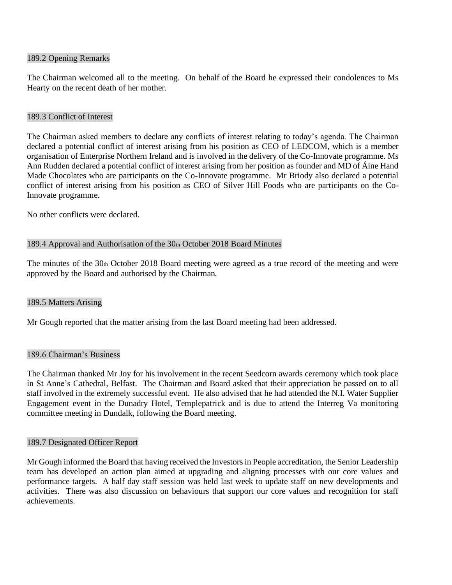#### 189.2 Opening Remarks

The Chairman welcomed all to the meeting. On behalf of the Board he expressed their condolences to Ms Hearty on the recent death of her mother.

#### 189.3 Conflict of Interest

The Chairman asked members to declare any conflicts of interest relating to today's agenda. The Chairman declared a potential conflict of interest arising from his position as CEO of LEDCOM, which is a member organisation of Enterprise Northern Ireland and is involved in the delivery of the Co-Innovate programme. Ms Ann Rudden declared a potential conflict of interest arising from her position as founder and MD of Áine Hand Made Chocolates who are participants on the Co-Innovate programme. Mr Briody also declared a potential conflict of interest arising from his position as CEO of Silver Hill Foods who are participants on the Co-Innovate programme.

No other conflicts were declared.

#### 189.4 Approval and Authorisation of the 30th October 2018 Board Minutes

The minutes of the 30th October 2018 Board meeting were agreed as a true record of the meeting and were approved by the Board and authorised by the Chairman.

### 189.5 Matters Arising

Mr Gough reported that the matter arising from the last Board meeting had been addressed.

#### 189.6 Chairman's Business

The Chairman thanked Mr Joy for his involvement in the recent Seedcorn awards ceremony which took place in St Anne's Cathedral, Belfast. The Chairman and Board asked that their appreciation be passed on to all staff involved in the extremely successful event. He also advised that he had attended the N.I. Water Supplier Engagement event in the Dunadry Hotel, Templepatrick and is due to attend the Interreg Va monitoring committee meeting in Dundalk, following the Board meeting.

#### 189.7 Designated Officer Report

Mr Gough informed the Board that having received the Investors in People accreditation, the Senior Leadership team has developed an action plan aimed at upgrading and aligning processes with our core values and performance targets. A half day staff session was held last week to update staff on new developments and activities. There was also discussion on behaviours that support our core values and recognition for staff achievements.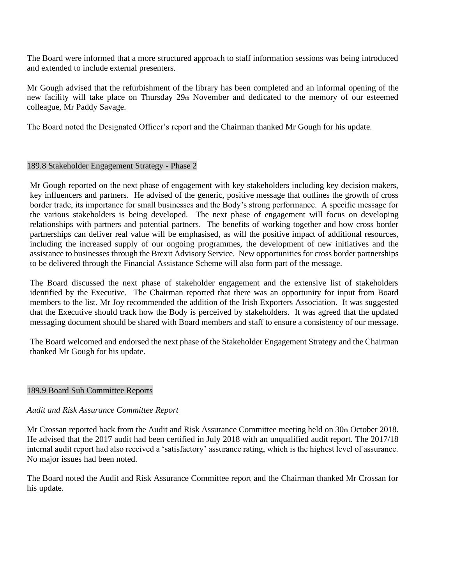The Board were informed that a more structured approach to staff information sessions was being introduced and extended to include external presenters.

Mr Gough advised that the refurbishment of the library has been completed and an informal opening of the new facility will take place on Thursday 29th November and dedicated to the memory of our esteemed colleague, Mr Paddy Savage.

The Board noted the Designated Officer's report and the Chairman thanked Mr Gough for his update.

### 189.8 Stakeholder Engagement Strategy - Phase 2

Mr Gough reported on the next phase of engagement with key stakeholders including key decision makers, key influencers and partners. He advised of the generic, positive message that outlines the growth of cross border trade, its importance for small businesses and the Body's strong performance. A specific message for the various stakeholders is being developed. The next phase of engagement will focus on developing relationships with partners and potential partners. The benefits of working together and how cross border partnerships can deliver real value will be emphasised, as will the positive impact of additional resources, including the increased supply of our ongoing programmes, the development of new initiatives and the assistance to businesses through the Brexit Advisory Service. New opportunities for cross border partnerships to be delivered through the Financial Assistance Scheme will also form part of the message.

The Board discussed the next phase of stakeholder engagement and the extensive list of stakeholders identified by the Executive. The Chairman reported that there was an opportunity for input from Board members to the list. Mr Joy recommended the addition of the Irish Exporters Association. It was suggested that the Executive should track how the Body is perceived by stakeholders. It was agreed that the updated messaging document should be shared with Board members and staff to ensure a consistency of our message.

The Board welcomed and endorsed the next phase of the Stakeholder Engagement Strategy and the Chairman thanked Mr Gough for his update.

### 189.9 Board Sub Committee Reports

### *Audit and Risk Assurance Committee Report*

Mr Crossan reported back from the Audit and Risk Assurance Committee meeting held on 30th October 2018. He advised that the 2017 audit had been certified in July 2018 with an unqualified audit report. The 2017/18 internal audit report had also received a 'satisfactory' assurance rating, which is the highest level of assurance. No major issues had been noted.

The Board noted the Audit and Risk Assurance Committee report and the Chairman thanked Mr Crossan for his update.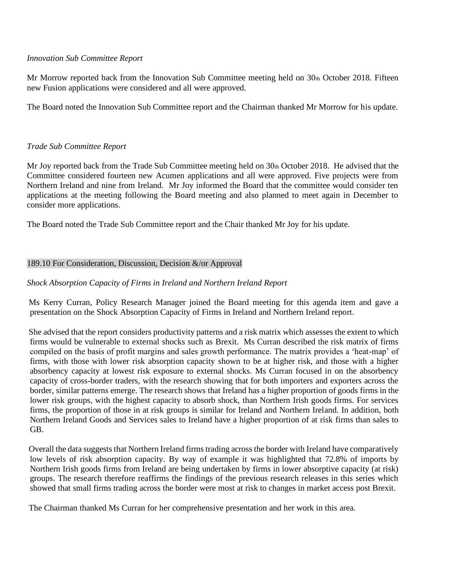### *Innovation Sub Committee Report*

Mr Morrow reported back from the Innovation Sub Committee meeting held on 30th October 2018. Fifteen new Fusion applications were considered and all were approved.

The Board noted the Innovation Sub Committee report and the Chairman thanked Mr Morrow for his update.

### *Trade Sub Committee Report*

Mr Joy reported back from the Trade Sub Committee meeting held on  $30<sub>th</sub>$  October 2018. He advised that the Committee considered fourteen new Acumen applications and all were approved. Five projects were from Northern Ireland and nine from Ireland. Mr Joy informed the Board that the committee would consider ten applications at the meeting following the Board meeting and also planned to meet again in December to consider more applications.

The Board noted the Trade Sub Committee report and the Chair thanked Mr Joy for his update.

### 189.10 For Consideration, Discussion, Decision &/or Approval

### *Shock Absorption Capacity of Firms in Ireland and Northern Ireland Report*

Ms Kerry Curran, Policy Research Manager joined the Board meeting for this agenda item and gave a presentation on the Shock Absorption Capacity of Firms in Ireland and Northern Ireland report.

She advised that the report considers productivity patterns and a risk matrix which assesses the extent to which firms would be vulnerable to external shocks such as Brexit. Ms Curran described the risk matrix of firms compiled on the basis of profit margins and sales growth performance. The matrix provides a 'heat-map' of firms, with those with lower risk absorption capacity shown to be at higher risk, and those with a higher absorbency capacity at lowest risk exposure to external shocks. Ms Curran focused in on the absorbency capacity of cross-border traders, with the research showing that for both importers and exporters across the border, similar patterns emerge. The research shows that Ireland has a higher proportion of goods firms in the lower risk groups, with the highest capacity to absorb shock, than Northern Irish goods firms. For services firms, the proportion of those in at risk groups is similar for Ireland and Northern Ireland. In addition, both Northern Ireland Goods and Services sales to Ireland have a higher proportion of at risk firms than sales to GB.

Overall the data suggests that Northern Ireland firms trading across the border with Ireland have comparatively low levels of risk absorption capacity. By way of example it was highlighted that 72.8% of imports by Northern Irish goods firms from Ireland are being undertaken by firms in lower absorptive capacity (at risk) groups. The research therefore reaffirms the findings of the previous research releases in this series which showed that small firms trading across the border were most at risk to changes in market access post Brexit.

The Chairman thanked Ms Curran for her comprehensive presentation and her work in this area.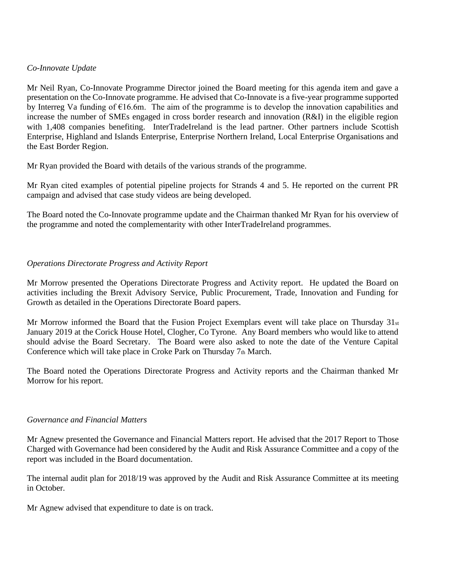### *Co-Innovate Update*

Mr Neil Ryan, Co-Innovate Programme Director joined the Board meeting for this agenda item and gave a presentation on the Co-Innovate programme. He advised that Co-Innovate is a five-year programme supported by Interreg Va funding of  $E16.6m$ . The aim of the programme is to develop the innovation capabilities and increase the number of SMEs engaged in cross border research and innovation (R&I) in the eligible region with 1,408 companies benefiting. InterTradeIreland is the lead partner. Other partners include Scottish Enterprise, Highland and Islands Enterprise, Enterprise Northern Ireland, Local Enterprise Organisations and the East Border Region.

Mr Ryan provided the Board with details of the various strands of the programme.

Mr Ryan cited examples of potential pipeline projects for Strands 4 and 5. He reported on the current PR campaign and advised that case study videos are being developed.

The Board noted the Co-Innovate programme update and the Chairman thanked Mr Ryan for his overview of the programme and noted the complementarity with other InterTradeIreland programmes.

## *Operations Directorate Progress and Activity Report*

Mr Morrow presented the Operations Directorate Progress and Activity report. He updated the Board on activities including the Brexit Advisory Service, Public Procurement, Trade, Innovation and Funding for Growth as detailed in the Operations Directorate Board papers.

Mr Morrow informed the Board that the Fusion Project Exemplars event will take place on Thursday  $31_{st}$ January 2019 at the Corick House Hotel, Clogher, Co Tyrone. Any Board members who would like to attend should advise the Board Secretary. The Board were also asked to note the date of the Venture Capital Conference which will take place in Croke Park on Thursday  $7<sub>th</sub>$  March.

The Board noted the Operations Directorate Progress and Activity reports and the Chairman thanked Mr Morrow for his report.

### *Governance and Financial Matters*

Mr Agnew presented the Governance and Financial Matters report. He advised that the 2017 Report to Those Charged with Governance had been considered by the Audit and Risk Assurance Committee and a copy of the report was included in the Board documentation.

The internal audit plan for 2018/19 was approved by the Audit and Risk Assurance Committee at its meeting in October.

Mr Agnew advised that expenditure to date is on track.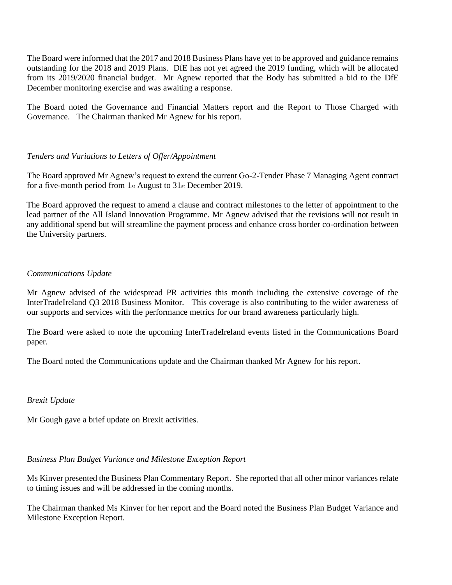The Board were informed that the 2017 and 2018 Business Plans have yet to be approved and guidance remains outstanding for the 2018 and 2019 Plans. DfE has not yet agreed the 2019 funding, which will be allocated from its 2019/2020 financial budget. Mr Agnew reported that the Body has submitted a bid to the DfE December monitoring exercise and was awaiting a response.

The Board noted the Governance and Financial Matters report and the Report to Those Charged with Governance. The Chairman thanked Mr Agnew for his report.

## *Tenders and Variations to Letters of Offer/Appointment*

The Board approved Mr Agnew's request to extend the current Go-2-Tender Phase 7 Managing Agent contract for a five-month period from 1st August to 31st December 2019.

The Board approved the request to amend a clause and contract milestones to the letter of appointment to the lead partner of the All Island Innovation Programme. Mr Agnew advised that the revisions will not result in any additional spend but will streamline the payment process and enhance cross border co-ordination between the University partners.

### *Communications Update*

Mr Agnew advised of the widespread PR activities this month including the extensive coverage of the InterTradeIreland Q3 2018 Business Monitor. This coverage is also contributing to the wider awareness of our supports and services with the performance metrics for our brand awareness particularly high.

The Board were asked to note the upcoming InterTradeIreland events listed in the Communications Board paper.

The Board noted the Communications update and the Chairman thanked Mr Agnew for his report.

### *Brexit Update*

Mr Gough gave a brief update on Brexit activities.

### *Business Plan Budget Variance and Milestone Exception Report*

Ms Kinver presented the Business Plan Commentary Report. She reported that all other minor variances relate to timing issues and will be addressed in the coming months.

The Chairman thanked Ms Kinver for her report and the Board noted the Business Plan Budget Variance and Milestone Exception Report.